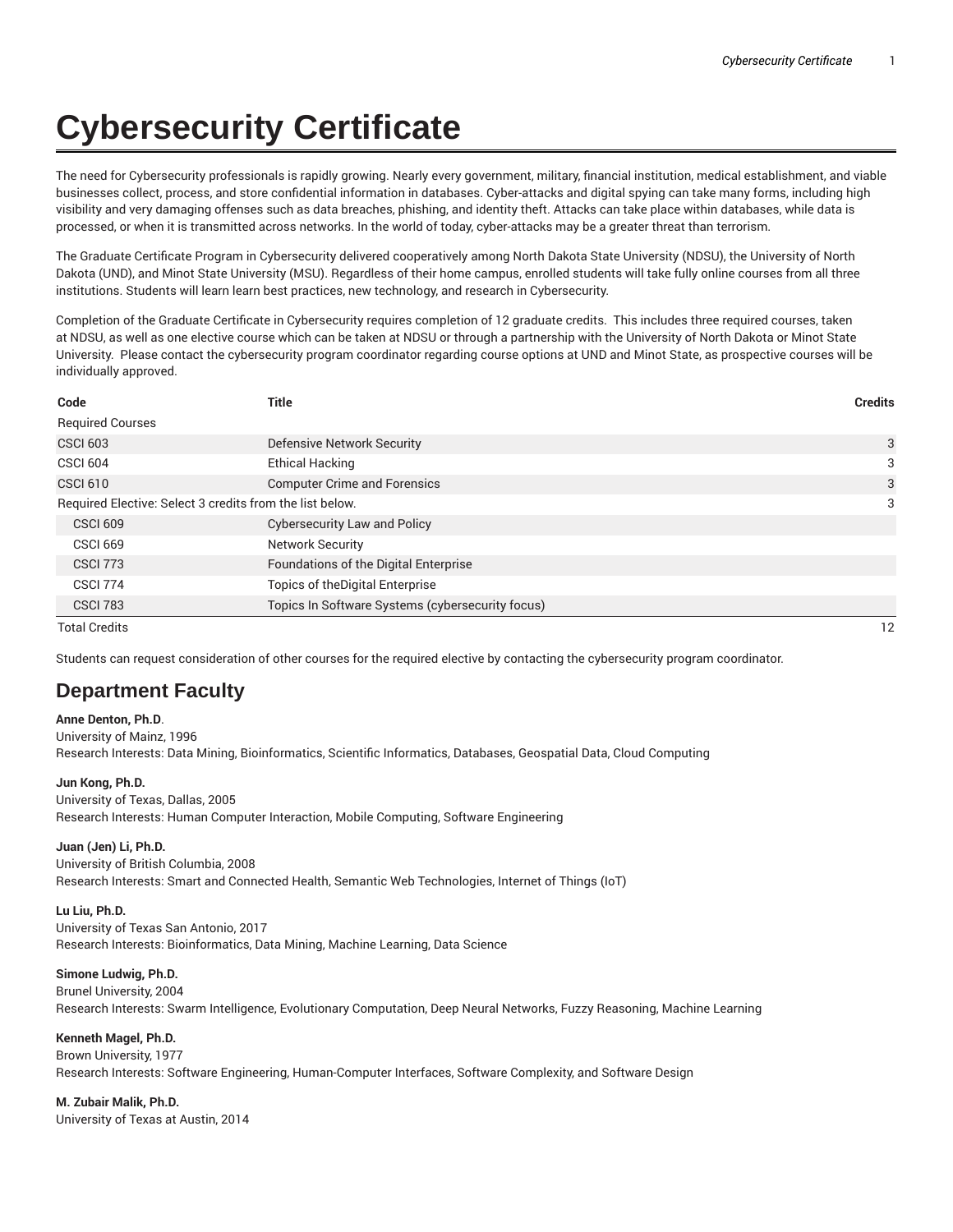# **Cybersecurity Certificate**

The need for Cybersecurity professionals is rapidly growing. Nearly every government, military, financial institution, medical establishment, and viable businesses collect, process, and store confidential information in databases. Cyber-attacks and digital spying can take many forms, including high visibility and very damaging offenses such as data breaches, phishing, and identity theft. Attacks can take place within databases, while data is processed, or when it is transmitted across networks. In the world of today, cyber-attacks may be a greater threat than terrorism.

The Graduate Certificate Program in Cybersecurity delivered cooperatively among North Dakota State University (NDSU), the University of North Dakota (UND), and Minot State University (MSU). Regardless of their home campus, enrolled students will take fully online courses from all three institutions. Students will learn learn best practices, new technology, and research in Cybersecurity.

Completion of the Graduate Certificate in Cybersecurity requires completion of 12 graduate credits. This includes three required courses, taken at NDSU, as well as one elective course which can be taken at NDSU or through a partnership with the University of North Dakota or Minot State University. Please contact the cybersecurity program coordinator regarding course options at UND and Minot State, as prospective courses will be individually approved.

| Code                                                     | <b>Title</b>                                     | <b>Credits</b> |
|----------------------------------------------------------|--------------------------------------------------|----------------|
| <b>Required Courses</b>                                  |                                                  |                |
| <b>CSCI 603</b>                                          | Defensive Network Security                       | 3              |
| <b>CSCI 604</b>                                          | <b>Ethical Hacking</b>                           | 3              |
| <b>CSCI 610</b>                                          | <b>Computer Crime and Forensics</b>              | 3              |
| Required Elective: Select 3 credits from the list below. |                                                  | 3              |
| <b>CSCI 609</b>                                          | <b>Cybersecurity Law and Policy</b>              |                |
| <b>CSCI 669</b>                                          | <b>Network Security</b>                          |                |
| <b>CSCI 773</b>                                          | Foundations of the Digital Enterprise            |                |
| <b>CSCI 774</b>                                          | Topics of the Digital Enterprise                 |                |
| <b>CSCI 783</b>                                          | Topics In Software Systems (cybersecurity focus) |                |

Total Credits 12

Students can request consideration of other courses for the required elective by contacting the cybersecurity program coordinator.

# **Department Faculty**

**Anne Denton, Ph.D**. University of Mainz, 1996 Research Interests: Data Mining, Bioinformatics, Scientific Informatics, Databases, Geospatial Data, Cloud Computing

### **Jun Kong, Ph.D.**

University of Texas, Dallas, 2005 Research Interests: Human Computer Interaction, Mobile Computing, Software Engineering

### **Juan (Jen) Li, Ph.D.**

University of British Columbia, 2008

Research Interests: Smart and Connected Health, Semantic Web Technologies, Internet of Things (IoT)

### **Lu Liu, Ph.D.**

University of Texas San Antonio, 2017

Research Interests: Bioinformatics, Data Mining, Machine Learning, Data Science

# **Simone Ludwig, Ph.D.**

Brunel University, 2004

Research Interests: Swarm Intelligence, Evolutionary Computation, Deep Neural Networks, Fuzzy Reasoning, Machine Learning

### **Kenneth Magel, Ph.D.**

Brown University, 1977 Research Interests: Software Engineering, Human-Computer Interfaces, Software Complexity, and Software Design

# **M. Zubair Malik, Ph.D.**

University of Texas at Austin, 2014